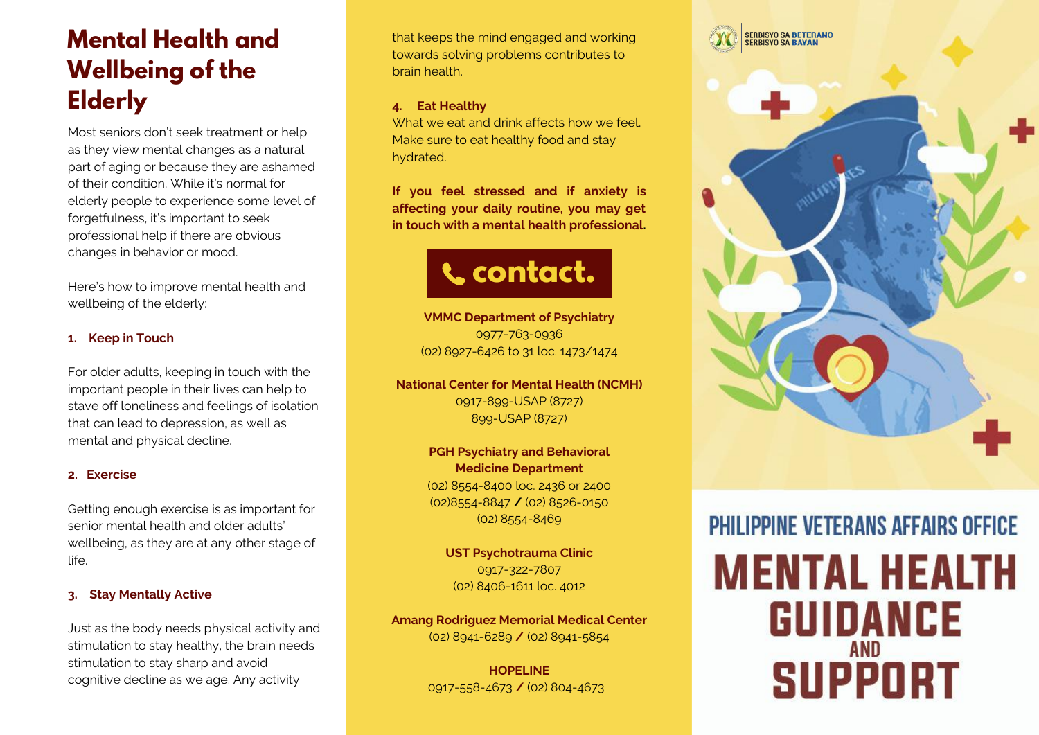### **Mental Health and Wellbeing of the Elderly**

Most seniors don't seek treatment or help as they view mental changes as a natural part of aging or because they are ashamed of their condition. While it's normal for elderly people to experience some level of forgetfulness, it's important to seek professional help if there are obvious changes in behavior or mood.

Here's how to improve mental health and wellbeing of the elderly:

#### **1. Keep in Touch**

For older adults, keeping in touch with the important people in their lives can help to stave off loneliness and feelings of isolation that can lead to depression, as well as mental and physical decline.

#### **2. Exercise**

Getting enough exercise is as important for senior mental health and older adults' wellbeing, as they are at any other stage of life.

#### **3. Stay Mentally Active**

Just as the body needs physical activity and stimulation to stay healthy, the brain needs stimulation to stay sharp and avoid cognitive decline as we age. Any activity

that keeps the mind engaged and working towards solving problems contributes to brain health.

#### **4. Eat Healthy**

What we eat and drink affects how we feel. Make sure to eat healthy food and stay hydrated.

**If you feel stressed and if anxiety is affecting your daily routine, you may get in touch with a mental health professional.**

### **contact.**

**VMMC Department of Psychiatry** 0977-763-0936 (02) 8927-6426 to 31 loc. 1473/1474

**National Center for Mental Health (NCMH)** 0917-899-USAP (8727) 899-USAP (8727)

> **PGH Psychiatry and Behavioral Medicine Department** (02) 8554-8400 loc. 2436 or 2400 (02)8554-8847 **/** (02) 8526-0150 (02) 8554-8469

**UST Psychotrauma Clinic** 0917-322-7807 (02) 8406-1611 loc. 4012

**Amang Rodriguez Memorial Medical Center** (02) 8941-6289 **/** (02) 8941-5854

> **HOPELINE** 0917-558-4673 **/** (02) 804-4673

# **PHILIPPINE VETERANS AFFAIRS OFFICE MENTAL HEALTH GUIDANCE SUPPORT**